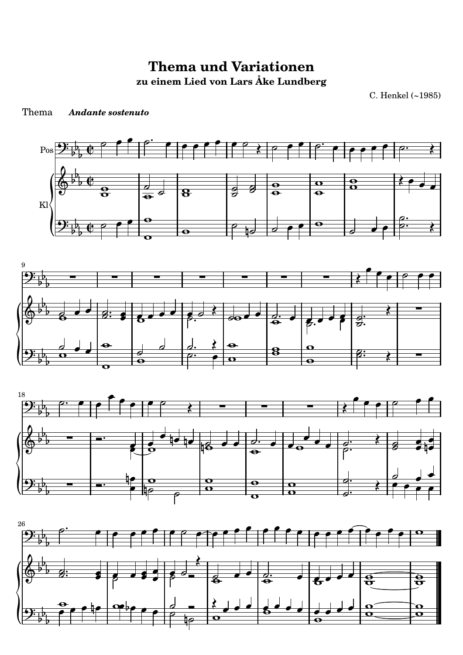## **zu einem Lied von Lars Åke Lundberg Thema und Variationen**

C. Henkel (~1985)

Thema *Andante sostenuto*







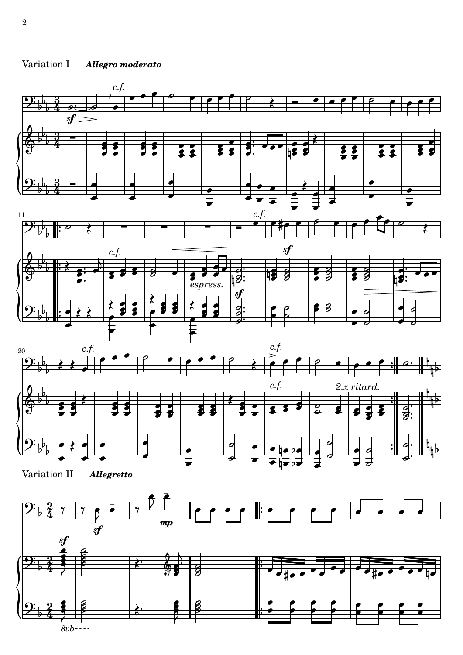







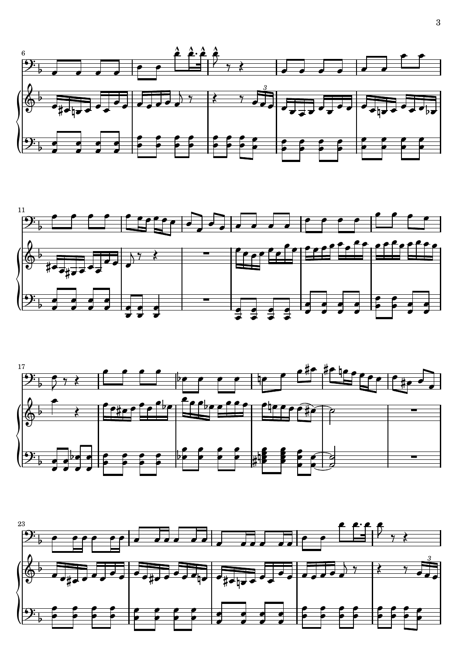





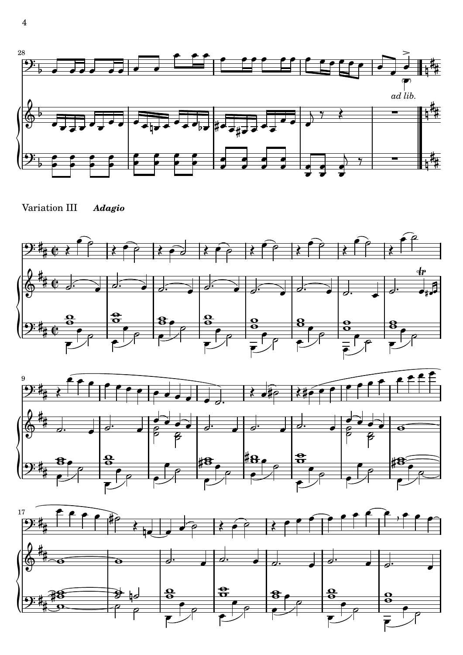







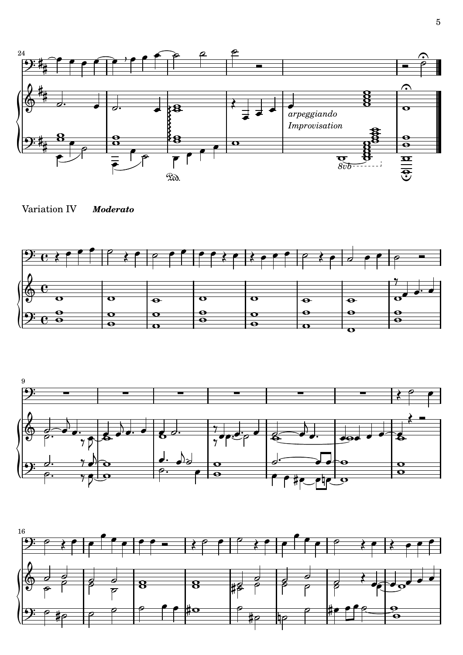







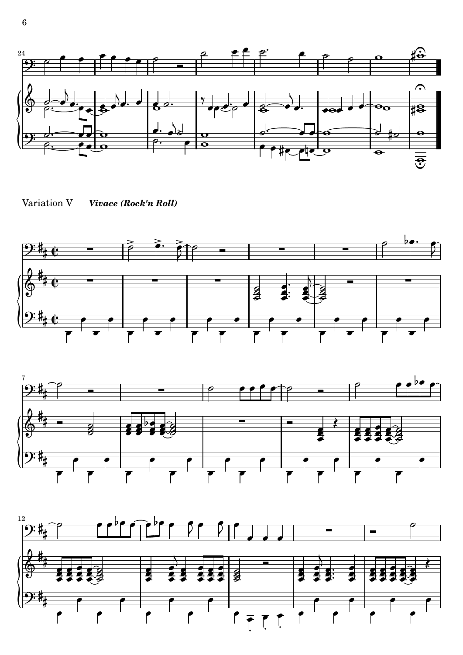

Variation V *Vivace (Rock'n Roll)*





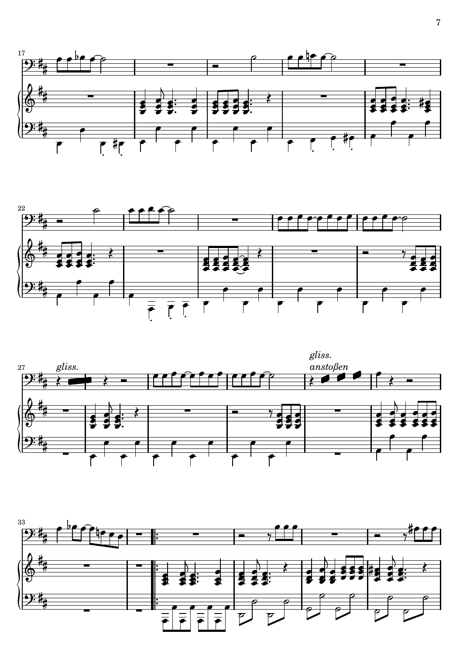